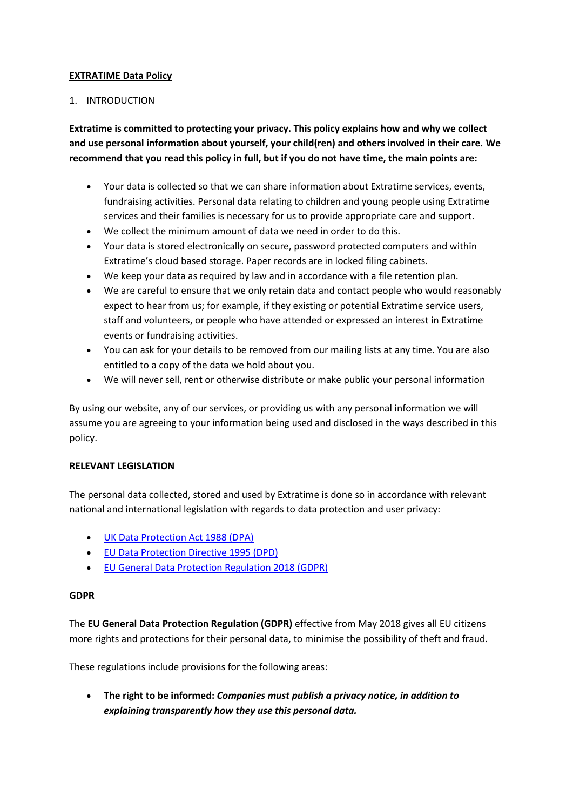#### **EXTRATIME Data Policy**

#### 1. INTRODUCTION

**Extratime is committed to protecting your privacy. This policy explains how and why we collect and use personal information about yourself, your child(ren) and others involved in their care. We recommend that you read this policy in full, but if you do not have time, the main points are:**

- Your data is collected so that we can share information about Extratime services, events, fundraising activities. Personal data relating to children and young people using Extratime services and their families is necessary for us to provide appropriate care and support.
- We collect the minimum amount of data we need in order to do this.
- Your data is stored electronically on secure, password protected computers and within Extratime's cloud based storage. Paper records are in locked filing cabinets.
- We keep your data as required by law and in accordance with a file retention plan.
- We are careful to ensure that we only retain data and contact people who would reasonably expect to hear from us; for example, if they existing or potential Extratime service users, staff and volunteers, or people who have attended or expressed an interest in Extratime events or fundraising activities.
- You can ask for your details to be removed from our mailing lists at any time. You are also entitled to a copy of the data we hold about you.
- We will never sell, rent or otherwise distribute or make public your personal information

By using our website, any of our services, or providing us with any personal information we will assume you are agreeing to your information being used and disclosed in the ways described in this policy.

#### **RELEVANT LEGISLATION**

The personal data collected, stored and used by Extratime is done so in accordance with relevant national and international legislation with regards to data protection and user privacy:

- [UK Data Protection Act 1988 \(DPA\)](http://www.legislation.gov.uk/ukpga/1998/29/contents)
- [EU Data Protection Directive 1995 \(DPD\)](http://eur-lex.europa.eu/legal-content/en/ALL/?uri=CELEX:31995L0046)
- [EU General Data Protection Regulation 2018 \(GDPR\)](http://eur-lex.europa.eu/legal-content/EN/TXT/?uri=uriserv:OJ.L_.2016.119.01.0001.01.ENG&toc=OJ:L:2016:119:TOC)

#### **GDPR**

The **EU General Data Protection Regulation (GDPR)** effective from May 2018 gives all EU citizens more rights and protections for their personal data, to minimise the possibility of theft and fraud.

These regulations include provisions for the following areas:

 **The right to be informed:** *Companies must publish a privacy notice, in addition to explaining transparently how they use this personal data.*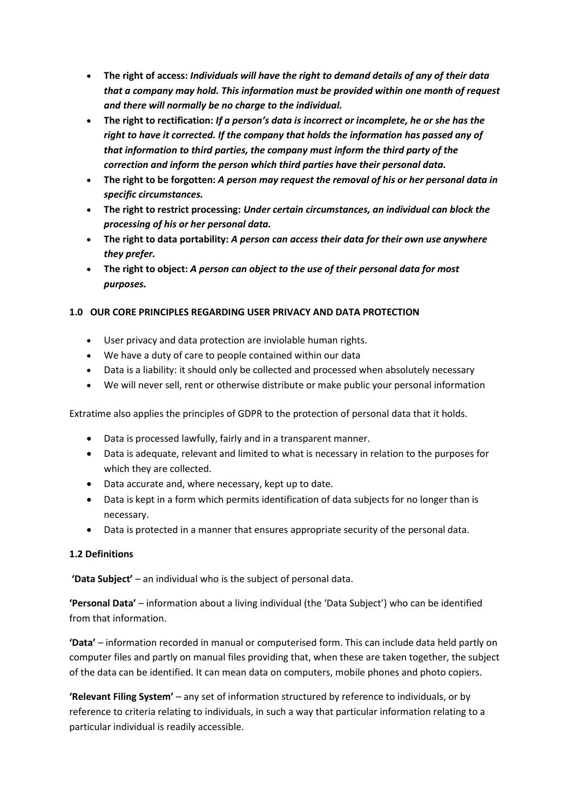- **The right of access:** *Individuals will have the right to demand details of any of their data that a company may hold. This information must be provided within one month of request and there will normally be no charge to the individual.*
- **The right to rectification:** *If a person's data is incorrect or incomplete, he or she has the right to have it corrected. If the company that holds the information has passed any of that information to third parties, the company must inform the third party of the correction and inform the person which third parties have their personal data.*
- **The right to be forgotten:** *A person may request the removal of his or her personal data in specific circumstances.*
- **The right to restrict processing:** *Under certain circumstances, an individual can block the processing of his or her personal data.*
- **The right to data portability:** *A person can access their data for their own use anywhere they prefer.*
- **The right to object:** *A person can object to the use of their personal data for most purposes.*

## **1.0 OUR CORE PRINCIPLES REGARDING USER PRIVACY AND DATA PROTECTION**

- User privacy and data protection are inviolable human rights.
- We have a duty of care to people contained within our data
- Data is a liability: it should only be collected and processed when absolutely necessary
- We will never sell, rent or otherwise distribute or make public your personal information

Extratime also applies the principles of GDPR to the protection of personal data that it holds.

- Data is processed lawfully, fairly and in a transparent manner.
- Data is adequate, relevant and limited to what is necessary in relation to the purposes for which they are collected.
- Data accurate and, where necessary, kept up to date.
- Data is kept in a form which permits identification of data subjects for no longer than is necessary.
- Data is protected in a manner that ensures appropriate security of the personal data.

## **1.2 Definitions**

**'Data Subject'** – an individual who is the subject of personal data.

**'Personal Data'** – information about a living individual (the 'Data Subject') who can be identified from that information.

**'Data'** – information recorded in manual or computerised form. This can include data held partly on computer files and partly on manual files providing that, when these are taken together, the subject of the data can be identified. It can mean data on computers, mobile phones and photo copiers.

**'Relevant Filing System'** – any set of information structured by reference to individuals, or by reference to criteria relating to individuals, in such a way that particular information relating to a particular individual is readily accessible.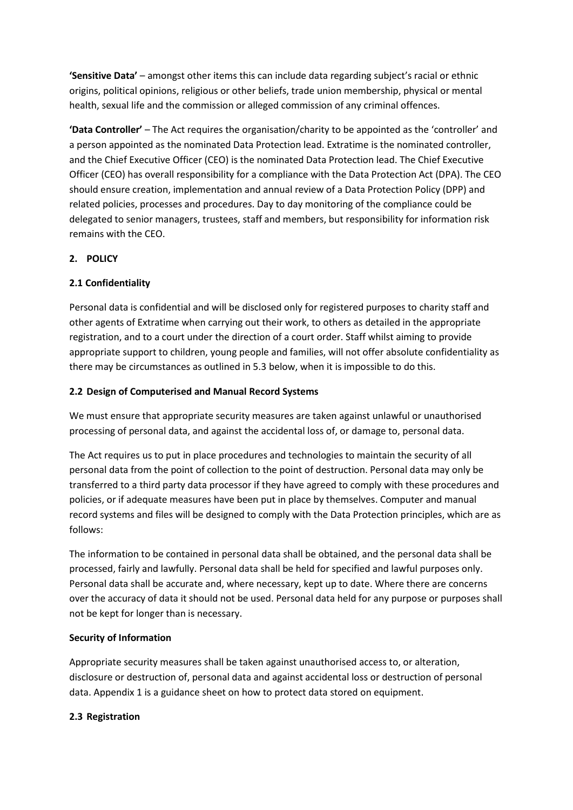**'Sensitive Data'** – amongst other items this can include data regarding subject's racial or ethnic origins, political opinions, religious or other beliefs, trade union membership, physical or mental health, sexual life and the commission or alleged commission of any criminal offences.

**'Data Controller'** – The Act requires the organisation/charity to be appointed as the 'controller' and a person appointed as the nominated Data Protection lead. Extratime is the nominated controller, and the Chief Executive Officer (CEO) is the nominated Data Protection lead. The Chief Executive Officer (CEO) has overall responsibility for a compliance with the Data Protection Act (DPA). The CEO should ensure creation, implementation and annual review of a Data Protection Policy (DPP) and related policies, processes and procedures. Day to day monitoring of the compliance could be delegated to senior managers, trustees, staff and members, but responsibility for information risk remains with the CEO.

## **2. POLICY**

## **2.1 Confidentiality**

Personal data is confidential and will be disclosed only for registered purposes to charity staff and other agents of Extratime when carrying out their work, to others as detailed in the appropriate registration, and to a court under the direction of a court order. Staff whilst aiming to provide appropriate support to children, young people and families, will not offer absolute confidentiality as there may be circumstances as outlined in 5.3 below, when it is impossible to do this.

## **2.2 Design of Computerised and Manual Record Systems**

We must ensure that appropriate security measures are taken against unlawful or unauthorised processing of personal data, and against the accidental loss of, or damage to, personal data.

The Act requires us to put in place procedures and technologies to maintain the security of all personal data from the point of collection to the point of destruction. Personal data may only be transferred to a third party data processor if they have agreed to comply with these procedures and policies, or if adequate measures have been put in place by themselves. Computer and manual record systems and files will be designed to comply with the Data Protection principles, which are as follows:

The information to be contained in personal data shall be obtained, and the personal data shall be processed, fairly and lawfully. Personal data shall be held for specified and lawful purposes only. Personal data shall be accurate and, where necessary, kept up to date. Where there are concerns over the accuracy of data it should not be used. Personal data held for any purpose or purposes shall not be kept for longer than is necessary.

## **Security of Information**

Appropriate security measures shall be taken against unauthorised access to, or alteration, disclosure or destruction of, personal data and against accidental loss or destruction of personal data. Appendix 1 is a guidance sheet on how to protect data stored on equipment.

## **2.3 Registration**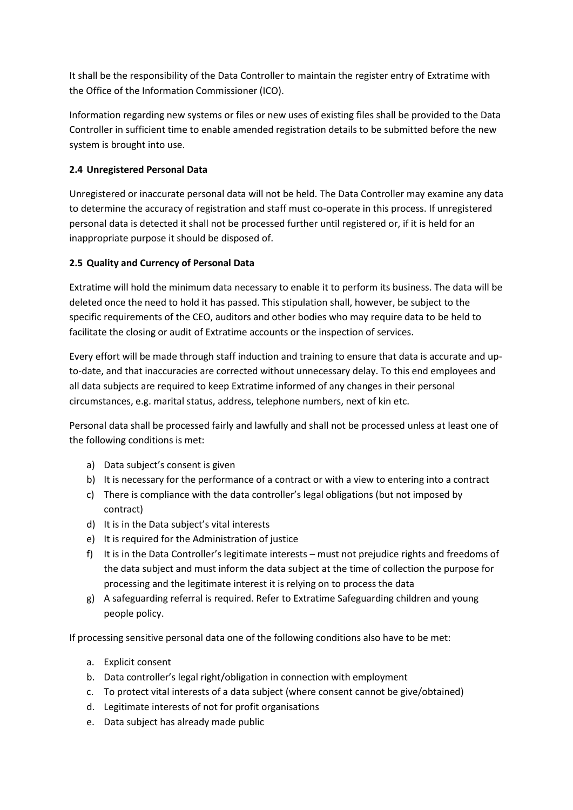It shall be the responsibility of the Data Controller to maintain the register entry of Extratime with the Office of the Information Commissioner (ICO).

Information regarding new systems or files or new uses of existing files shall be provided to the Data Controller in sufficient time to enable amended registration details to be submitted before the new system is brought into use.

# **2.4 Unregistered Personal Data**

Unregistered or inaccurate personal data will not be held. The Data Controller may examine any data to determine the accuracy of registration and staff must co-operate in this process. If unregistered personal data is detected it shall not be processed further until registered or, if it is held for an inappropriate purpose it should be disposed of.

## **2.5 Quality and Currency of Personal Data**

Extratime will hold the minimum data necessary to enable it to perform its business. The data will be deleted once the need to hold it has passed. This stipulation shall, however, be subject to the specific requirements of the CEO, auditors and other bodies who may require data to be held to facilitate the closing or audit of Extratime accounts or the inspection of services.

Every effort will be made through staff induction and training to ensure that data is accurate and upto-date, and that inaccuracies are corrected without unnecessary delay. To this end employees and all data subjects are required to keep Extratime informed of any changes in their personal circumstances, e.g. marital status, address, telephone numbers, next of kin etc.

Personal data shall be processed fairly and lawfully and shall not be processed unless at least one of the following conditions is met:

- a) Data subject's consent is given
- b) It is necessary for the performance of a contract or with a view to entering into a contract
- c) There is compliance with the data controller's legal obligations (but not imposed by contract)
- d) It is in the Data subject's vital interests
- e) It is required for the Administration of justice
- f) It is in the Data Controller's legitimate interests must not prejudice rights and freedoms of the data subject and must inform the data subject at the time of collection the purpose for processing and the legitimate interest it is relying on to process the data
- g) A safeguarding referral is required. Refer to Extratime Safeguarding children and young people policy.

If processing sensitive personal data one of the following conditions also have to be met:

- a. Explicit consent
- b. Data controller's legal right/obligation in connection with employment
- c. To protect vital interests of a data subject (where consent cannot be give/obtained)
- d. Legitimate interests of not for profit organisations
- e. Data subject has already made public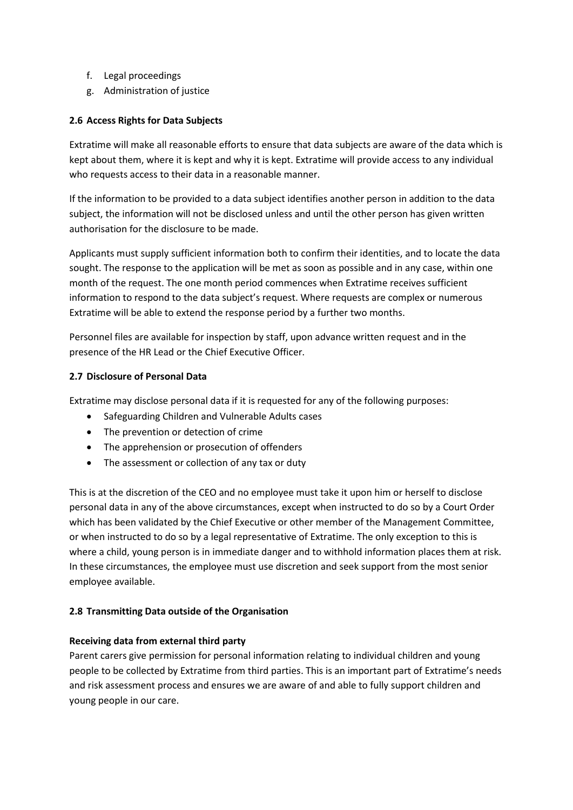- f. Legal proceedings
- g. Administration of justice

## **2.6 Access Rights for Data Subjects**

Extratime will make all reasonable efforts to ensure that data subjects are aware of the data which is kept about them, where it is kept and why it is kept. Extratime will provide access to any individual who requests access to their data in a reasonable manner.

If the information to be provided to a data subject identifies another person in addition to the data subject, the information will not be disclosed unless and until the other person has given written authorisation for the disclosure to be made.

Applicants must supply sufficient information both to confirm their identities, and to locate the data sought. The response to the application will be met as soon as possible and in any case, within one month of the request. The one month period commences when Extratime receives sufficient information to respond to the data subject's request. Where requests are complex or numerous Extratime will be able to extend the response period by a further two months.

Personnel files are available for inspection by staff, upon advance written request and in the presence of the HR Lead or the Chief Executive Officer.

## **2.7 Disclosure of Personal Data**

Extratime may disclose personal data if it is requested for any of the following purposes:

- Safeguarding Children and Vulnerable Adults cases
- The prevention or detection of crime
- The apprehension or prosecution of offenders
- The assessment or collection of any tax or duty

This is at the discretion of the CEO and no employee must take it upon him or herself to disclose personal data in any of the above circumstances, except when instructed to do so by a Court Order which has been validated by the Chief Executive or other member of the Management Committee, or when instructed to do so by a legal representative of Extratime. The only exception to this is where a child, young person is in immediate danger and to withhold information places them at risk. In these circumstances, the employee must use discretion and seek support from the most senior employee available.

## **2.8 Transmitting Data outside of the Organisation**

#### **Receiving data from external third party**

Parent carers give permission for personal information relating to individual children and young people to be collected by Extratime from third parties. This is an important part of Extratime's needs and risk assessment process and ensures we are aware of and able to fully support children and young people in our care.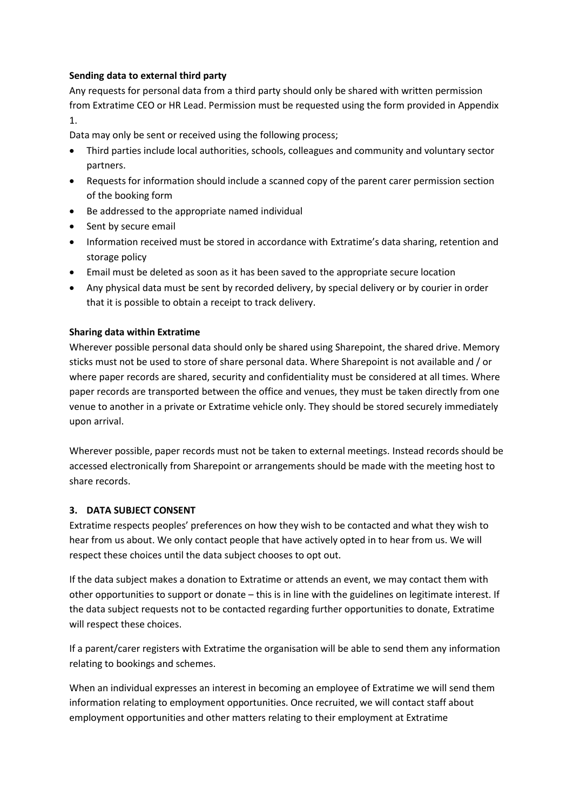#### **Sending data to external third party**

Any requests for personal data from a third party should only be shared with written permission from Extratime CEO or HR Lead. Permission must be requested using the form provided in Appendix 1.

Data may only be sent or received using the following process;

- Third parties include local authorities, schools, colleagues and community and voluntary sector partners.
- Requests for information should include a scanned copy of the parent carer permission section of the booking form
- Be addressed to the appropriate named individual
- Sent by secure email
- Information received must be stored in accordance with Extratime's data sharing, retention and storage policy
- Email must be deleted as soon as it has been saved to the appropriate secure location
- Any physical data must be sent by recorded delivery, by special delivery or by courier in order that it is possible to obtain a receipt to track delivery.

#### **Sharing data within Extratime**

Wherever possible personal data should only be shared using Sharepoint, the shared drive. Memory sticks must not be used to store of share personal data. Where Sharepoint is not available and / or where paper records are shared, security and confidentiality must be considered at all times. Where paper records are transported between the office and venues, they must be taken directly from one venue to another in a private or Extratime vehicle only. They should be stored securely immediately upon arrival.

Wherever possible, paper records must not be taken to external meetings. Instead records should be accessed electronically from Sharepoint or arrangements should be made with the meeting host to share records.

## **3. DATA SUBJECT CONSENT**

Extratime respects peoples' preferences on how they wish to be contacted and what they wish to hear from us about. We only contact people that have actively opted in to hear from us. We will respect these choices until the data subject chooses to opt out.

If the data subject makes a donation to Extratime or attends an event, we may contact them with other opportunities to support or donate – this is in line with the guidelines on legitimate interest. If the data subject requests not to be contacted regarding further opportunities to donate, Extratime will respect these choices.

If a parent/carer registers with Extratime the organisation will be able to send them any information relating to bookings and schemes.

When an individual expresses an interest in becoming an employee of Extratime we will send them information relating to employment opportunities. Once recruited, we will contact staff about employment opportunities and other matters relating to their employment at Extratime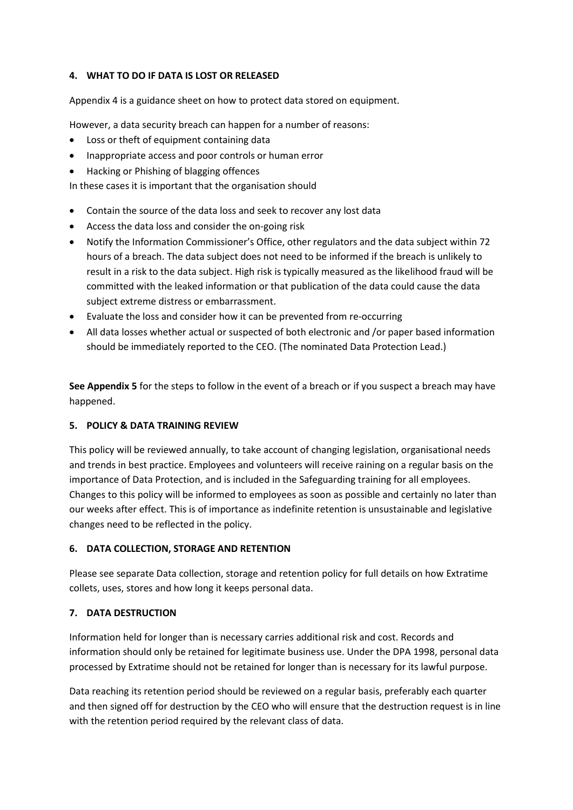#### **4. WHAT TO DO IF DATA IS LOST OR RELEASED**

Appendix 4 is a guidance sheet on how to protect data stored on equipment.

However, a data security breach can happen for a number of reasons:

- Loss or theft of equipment containing data
- Inappropriate access and poor controls or human error
- Hacking or Phishing of blagging offences

In these cases it is important that the organisation should

- Contain the source of the data loss and seek to recover any lost data
- Access the data loss and consider the on-going risk
- Notify the Information Commissioner's Office, other regulators and the data subject within 72 hours of a breach. The data subject does not need to be informed if the breach is unlikely to result in a risk to the data subject. High risk is typically measured as the likelihood fraud will be committed with the leaked information or that publication of the data could cause the data subject extreme distress or embarrassment.
- Evaluate the loss and consider how it can be prevented from re-occurring
- All data losses whether actual or suspected of both electronic and /or paper based information should be immediately reported to the CEO. (The nominated Data Protection Lead.)

**See Appendix 5** for the steps to follow in the event of a breach or if you suspect a breach may have happened.

#### **5. POLICY & DATA TRAINING REVIEW**

This policy will be reviewed annually, to take account of changing legislation, organisational needs and trends in best practice. Employees and volunteers will receive raining on a regular basis on the importance of Data Protection, and is included in the Safeguarding training for all employees. Changes to this policy will be informed to employees as soon as possible and certainly no later than our weeks after effect. This is of importance as indefinite retention is unsustainable and legislative changes need to be reflected in the policy.

## **6. DATA COLLECTION, STORAGE AND RETENTION**

Please see separate Data collection, storage and retention policy for full details on how Extratime collets, uses, stores and how long it keeps personal data.

#### **7. DATA DESTRUCTION**

Information held for longer than is necessary carries additional risk and cost. Records and information should only be retained for legitimate business use. Under the DPA 1998, personal data processed by Extratime should not be retained for longer than is necessary for its lawful purpose.

Data reaching its retention period should be reviewed on a regular basis, preferably each quarter and then signed off for destruction by the CEO who will ensure that the destruction request is in line with the retention period required by the relevant class of data.